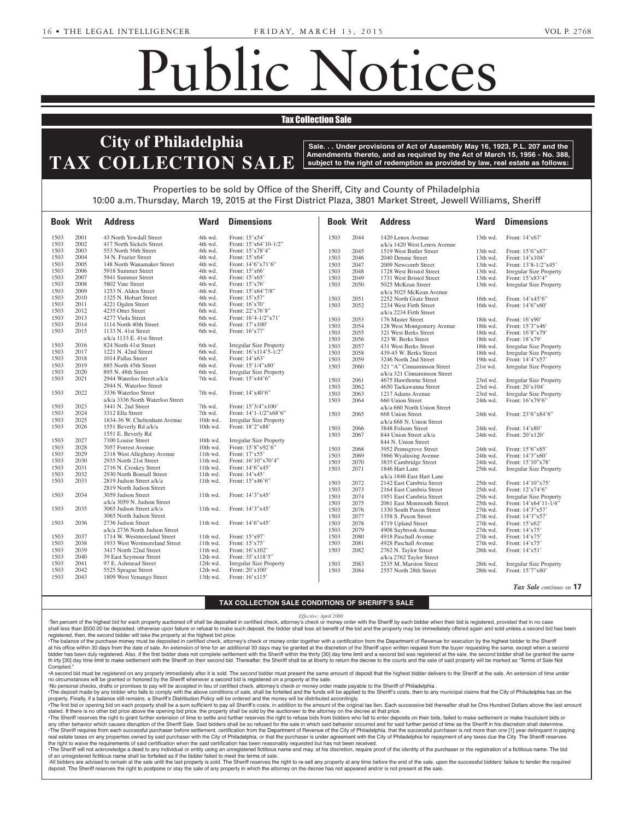which requires advertisement

PA 19380.

Petitions have been filed by the

# Public Notices

# **Tax Collection Sale**

## **Notice Theory** of **Dk**ladelship Your attention is directed to  $T_A X A$ Estates and Fiducial Estates and Fiducial Street, and Fiducia  $\overline{\phantom{a}}$ **JOHN OVERMYER)** -- Robert **City of Philadelphia** April Point Drive North, Mont- $E$   $C$  T $N$   $C$ FREEMAN, S **TAX COLLECTION SALE** Subject to the right pursuant to the provisions of the

adelphia, PA 19102

Estate Notices

 $\parallel$  Sale. . . Under provisions of Act of Assembly May 16, 1923, P.L. 207 and the  $\parallel$ Amendments thereto, and as required by the Act of March 15, 1956 - No. 388,  $\mathbf{F}$   $\mathbf{F}$   $\mathbf{F}$   $\mathbf{F}$  continuous of the state  $\bf{E}$  subject to the right of redemption as provide **Requirement as provided by** uon 10, 1000.<br>Anglactate a subject to the right of redemption as provided by law, real estate as follows:<br>.

Miscellaneous Notices

### 10:00 a.m. Thursday, March 19, 2015 at <sup>2</sup><br>of love Officers of the Charitte Officers  $F_{\text{total}}$ , maron  $F_{\text{total}}$   $F_{\text{total}}$  at fice of the Sheriff, City and County of Philadelp **P** First District Plaza 380 e First District Plaza, 3801 Market Street, Jewell Wi Properties to be sold by Office of the Sheriff, City and County of Philadelphia **Of Consent** Bucks County Children and Youth Social Services Agency to 10:00 a.m. Thursday, March 19, 2015 at the First District Plaza, 3801 Market Street, Jewell Williams, Sheriff  $|$  $\mathbb{R}$  respectively.

ville, OH 44667 and registered

|              | <b>Book Writ</b> | <b>Address</b>                   | Ward               | <b>Dimensions</b>                                  | <b>Book Writ</b> |              | <b>Address</b>                                      | Ward       | <b>Dimensions</b>              |
|--------------|------------------|----------------------------------|--------------------|----------------------------------------------------|------------------|--------------|-----------------------------------------------------|------------|--------------------------------|
| 1503         | 2001             | 43 North Yewdall Street          | 4th wd.            | Front: 15'x54'                                     | 1503             | 2044         | 1420 Lenox Avenue                                   | $13th$ wd. | Front: $14'x67'$               |
| 1503         | 2002             | 417 North Sickels Street         | 4th wd.            | Front: 15'x64'10-1/2"                              |                  |              | a/k/a 1420 West Lenox Avenue                        |            |                                |
| 1503         | 2003             | 553 North 56th Street            | 4th wd.            | Front: $15'x78'4"$                                 | 1503             | 2045         | 1519 West Butler Street                             | 13th wd.   | Front: 15'6"x87'               |
| 1503         | 2004             | 34 N. Frazier Street             | 4th wd.            | Front: 15'x64'                                     | 1503             | 2046         | 2040 Dennie Street                                  | 13th wd.   | Front: 14'x104'                |
| 1503         | 2005             | 148 North Wanamaker Street       | 4th wd.            | Front: 14'6"x71'6"                                 | 1503             | 2047         | 2009 Newcomb Street                                 | $13th$ wd. | Front: 13'8-1/2"x45'           |
| 1503         | 2006             | 5918 Summer Street               | 4th wd.            | Front: 15'x66'                                     | 1503             | 2048         | 1728 West Bristol Street                            | 13th wd.   | <b>Irregular Size Property</b> |
| 1503         | 2007             | 5941 Summer Street               | 4th wd.            | Front: 15'x65'                                     | 1503             | 2049         | 1731 West Bristol Street                            | 13th wd.   | Front: 15'x83'4"               |
| 1503         | 2008             | 5802 Vine Street                 | 4th wd.            | Front: 15'x76'                                     | 1503             | 2050         | 5025 McKean Street                                  | 13th wd.   | <b>Irregular Size Property</b> |
| 1503         | 2009             | 1253 N. Alden Street             | 4th wd.            | Front: 15'x64'7/8"                                 |                  |              | a/k/a 5025 McKean Avenue                            |            |                                |
| 1503         | 2010             | 1325 N. Hobart Street            | 4th wd.            | Front: $15'x57'$                                   | 1503             | 2051         | 2252 North Gratz Street                             | $16th$ wd. | Front: 14'x45'6"               |
| 1503         | 2011             | 4221 Ogden Street                | 6th wd.            | Front: 16'x70'                                     | 1503             | 2052         | 2234 West Firth Street                              | 16th wd.   | Front: 14'6"x60'               |
| 1503         | 2012             | 4235 Otter Street                | 6th wd.            | Front: 22'x76'8"                                   |                  |              | a/k/a 2234 Firth Street                             |            |                                |
| 1503         | 2013             | 4277 Viola Street                | 6th wd.            | Front: 16'4-1/2"x71'                               | 1503             | 2053         | 176 Master Street                                   | 18th wd.   | Front: 16'x90'                 |
| 1503         | 2014             | 1114 North 40th Street           | 6th wd.            | Front: 17'x100'                                    | 1503             | 2054         |                                                     | 18th wd.   | Front: 15'3"x46'               |
| 1503         | 2015             | 1133 N. 41st Street              | 6th wd.            | Front: 16'x77'                                     | 1503             | 2055         | 128 West Montgomery Avenue<br>321 West Berks Street | 18th wd.   | Front: 16'8"x79'               |
|              |                  | a/k/a 1133 E. 41st Street        |                    |                                                    | 1503             | 2056         |                                                     | $18th$ wd. | Front: 18'x79'                 |
| 1503         | 2016             | 824 North 41st Street            | 6th wd.            | <b>Irregular Size Property</b>                     | 1503             |              | 323 W. Berks Street                                 |            |                                |
| 1503         | 2017             | 1221 N. 42nd Street              | 6th wd.            | Front: 16'x114'5-1/2"                              |                  | 2057         | 431 West Berks Street                               | 18th wd.   | <b>Irregular Size Property</b> |
| 1503         | 2018             | 1014 Pallas Street               | 6th wd.            | Front: 14'x63'                                     | 1503             | 2058         | 439-45 W. Berks Street                              | 18th wd.   | <b>Irregular Size Property</b> |
| 1503         | 2019             | 885 North 45th Street            | 6th wd.            | Front: 15'1/4"x80"                                 | 1503             | 2059         | 3246 North 2nd Street                               | $19th$ wd. | Front: 14'4"x57'               |
|              |                  | 895 N. 48th Street               |                    |                                                    | 1503             | 2060         | 321 "A" Cinnaminson Street                          | 21st wd.   | Irregular Size Property        |
| 1503<br>1503 | 2020<br>2021     | 2944 Waterloo Street a/k/a       | 6th wd.<br>7th wd. | <b>Irregular Size Property</b><br>Front: 15'x44'6" |                  |              | a/k/a 321 Cinnaminson Street                        |            |                                |
|              |                  |                                  |                    |                                                    | 1503             | 2061         | 4675 Hawthorne Street                               | 23rd wd.   | <b>Irregular Size Property</b> |
|              |                  | 2944 N. Waterloo Street          |                    |                                                    | 1503             | 2062         | 4650 Tackawanna Street                              | 23rd wd.   | Front: 20'x104'                |
| 1503         | 2022             | 3336 Waterloo Street             | 7th wd.            | Front: 14'x40'6"                                   | 1503             | 2063         | 1217 Adams Avenue                                   | 23rd wd.   | <b>Irregular Size Property</b> |
|              |                  | a/k/a 3336 North Waterloo Street |                    |                                                    | 1503             | 2064         | 660 Union Street                                    | 24th wd.   | Front: 16'x79'6"               |
| 1503         | 2023             | 3441 N. 2nd Street               | 7th wd.            | Front: 15'3/4"x100"                                |                  |              | a/k/a 660 North Union Street                        |            |                                |
| 1503         | 2024             | 3312 Ella Street                 | 7th wd.            | Front: 14'1-1/2"x68'6"                             | 1503             | 2065         | 668 Union Street                                    | 24th wd.   | Front: 23'6"x84'6"             |
| 1503         | 2025             | 1834-36 W. Cheltenham Avenue     | $10th$ wd.         | Irregular Size Property                            |                  |              | a/k/a 668 N. Union Street                           |            |                                |
| 1503         | 2026             | 1551 Beverly Rd a/k/a            | $10th$ wd.         | Front: 18'2"x88'                                   | 1503             | 2066         | 3848 Folsom Street                                  | 24th wd.   | Front: 14'x80'                 |
|              |                  | 1551 E. Beverly Rd               |                    |                                                    | 1503             | 2067         | 844 Union Street a/k/a                              | 24th wd.   | Front: $20'x120'$              |
| 1503         | 2027             | 7100 Louise Street               | 10th wd.           | <b>Irregular Size Property</b>                     |                  |              | 844 N. Union Street                                 |            |                                |
| 1503         | 2028             | 7057 Forrest Avenue              | $10th$ wd.         | Front: 15'8"x92'6"                                 | 1503             | 2068         | 3952 Pennsgrove Street                              | $24th$ wd. | Front: 15'6"x85'               |
| 1503         | 2029             | 2318 West Allegheny Avenue       | 11th wd.           | Front: 17'x55'                                     | 1503             | 2069         | 3866 Wyalusing Avenue                               | 24th wd.   | Front: 14'3"x60'               |
| 1503         | 2030             | 2935 North 21st Street           | 11th wd.           | Front: 16'10"x70'4"                                | 1503             | 2070         | 3835 Cambridge Street                               | 24th wd.   | Front: 15'10"x78'              |
| 1503         | 2031             | 2716 N. Croskey Street           | 11th wd.           | Front: 14'6"x45"                                   | 1503             | 2071         | 1846 Hart Lane                                      | $25th$ wd. | Irregular Size Property        |
| 1503         | 2032             | 2930 North Bonsall Street        | $11th$ wd.         | Front: $14'x45'$                                   |                  |              |                                                     |            |                                |
| 1503         | 2033             | 2819 Judson Street a/k/a         | 11th wd.           | Front: 15'x46'6"                                   |                  |              | a/k/a 1846 East Hart Lane                           |            |                                |
|              |                  | 2819 North Judson Street         |                    |                                                    | 1503             | 2072<br>2073 | 2142 East Cambria Street                            | $25th$ wd. | Front: 14'10"x75'              |
| 1503         | 2034             | 3059 Judson Street               | 11th wd.           | Front: 14'3"x45'                                   | 1503             |              | 2164 East Cambria Street                            | $25th$ wd. | Front: 12'x74'6"               |
|              |                  | a/k/a 3059 N. Judson Street      |                    |                                                    | 1503             | 2074         | 1951 East Cambria Street                            | 25th wd.   | <b>Irregular Size Property</b> |
| 1503         | 2035             | 3065 Judson Street a/k/a         | 11th wd.           | Front: 14'3"x45"                                   | 1503             | 2075         | 2061 East Monmouth Street                           | $25th$ wd. | Front: 14'x64'11-1/4"          |
|              |                  |                                  |                    |                                                    | 1503             | 2076         | 1330 South Paxon Street                             | $27th$ wd. | Front: 14'3"x57'               |
|              |                  | 3065 North Judson Street         |                    |                                                    | 1503             | 2077         | 1358 S. Paxon Street                                | $27th$ wd. | Front: 14'3"x57'               |
| 1503         | 2036             | 2736 Judson Street               | $11th$ wd.         | Front: 14'6"x45'                                   | 1503             | 2078         | 4719 Upland Street                                  | $27th$ wd. | Front: 15'x62'                 |
|              |                  | a/k/a 2736 North Judson Street   |                    |                                                    | 1503             | 2079         | 4908 Saybrook Avenue                                | $27th$ wd. | Front: $14'x75'$               |
| 1503         | 2037             | 1714 W. Westmoreland Street      | 11th wd.           | Front: 15'x97'                                     | 1503             | 2080         | 4918 Paschall Avenue                                | $27th$ wd. | Front: 14'x75'                 |
| 1503         | 2038             | 1933 West Westmoreland Street    | 11th wd.           | Front: 15'x75'                                     | 1503             | 2081         | 4928 Paschall Avenue                                | $27th$ wd. | Front: 14'x75'                 |
| 1503         | 2039             | 3417 North 22nd Street           | $11th$ wd.         | Front: $16'x102$                                   | 1503             | 2082         | 2762 N. Taylor Street                               | $28th$ wd. | Front: $14'x51'$               |
| 1503         | 2040             | 39 East Seymour Street           | 12th wd.           | Front: 35'x118'5"                                  |                  |              | a/k/a 2762 Taylor Street                            |            |                                |
| 1503         | 2041             | 97 E. Ashmead Street             | $12th$ wd.         | <b>Irregular Size Property</b>                     | 1503             | 2083         | 2535 M. Marston Street                              | 28th wd.   | <b>Irregular Size Property</b> |
| 1503         | 2042             | 5525 Sprague Street              | $12th$ wd.         | Front: 20'x100'                                    | 1503             | 2084         | 2557 North 28th Street                              | 28th wd.   | Front: 15'7"x80'               |
|              | 2043             | 1809 West Venango Street         | 13th wd.           | Front: 16'x115'                                    |                  |              |                                                     |            |                                |

# filed with the Department of the TAX COLLECTION SALE CONDITIONS OF SHI on 3/3/2015 under the Domestic United States and Domestic United States and Domestic United States and Domestic ber Term, 2014, No. 2788. Notice 13, 2015, the petition of **Guylnara TAX COLLECTION SALE CONDITIONS OF SHERIFF'S SALE**

**Abramson** was filed praying for a *Effective: April 2000*

**MASSIE, MARY L.** -- Georgia  $\begin{bmatrix} \cdot & \text{Ien percent of the highest bid for each } p \end{bmatrix}$ I en percent of the nighest bid for each property auctioned off shall be deposited in certified check, attorney's check or money order with<br>Shall less than \$500.00 be deposited, otherwise upon failure or refusal to make su Effective: April 2000<br>Ten percent of the highest bid for each property auctioned off shall be deposited in certified check, attorney's check or money order with the Sheriff by each bidder when their bid is registered, prov shall less than \$500.00 be deposited, otherwise upon failure or refusal to make such deposit, the bidder shall lose all benefit of the bid and the property may be immediately offered again and sold unless a second bid has

registered, then, the second bidder will take the property at the highest bid price.<br>The belance of the purchase manou must be deposited in certified shock, atternay's sho duer will take the property at the highest bid price.<br>money must be deposited in certified check, attorney's check or money order together with a certification fr<br>m the date of sale. An extension of time for an additional the trial been day registered. Also, if the first bidder does not complete settlement with the chemi within the thiny [50] day time limit and they have the thing the time and the the chemical the theory to return the dec **k** Complied." at his office within 30 days from the date of sale. An extension of time for an additional 30 days may be granted at the discretion of the Sheriff upon written request from the buyer requesting the same, except when a seco his once which so days non the date of sale. An extension of thre for an additional so days may be granted at the discretion of the Sheriff operation of the Sheriff within the thirty [30] day time limit and a second bid wa The balance of the purchase money must be deposited in certified check, attorney's check or money order together with a certification from the Department of Revenue for execution by the highest bidder to the Sheriff<br>at bis th irty [30] day time limit to make settlement with the Sheriff on their second bid. Thereafter, the Sheriff shall be at liberty to return the decree to the courts and the sale of said property will be marked as "Terms of

A second bid must be registered on any property immediately after it is sold. The second bidder must present the same amount of deposit that the highest bidder delivers to the Sheriff at the sale. An extension of time unde no circumstances will be granted or hone 3-13-1\* no circumstances will be granted or honored by the Sheriff whenever a second bid is registered on a property at the sale.

 $\cdot$ No personal checks, drafts or promises ·No personal checks, drafts or promises to pay will be accepted in lieu of certified check, attorney's check or money order made payable to the Sheriff of Philadelphia .

The deposit made by any bidder who fails to comply with the above conditions of sale, shall be forteited and the funds will be applied to the Sheriff's costs, then to any municipal claims that the City of Philadelphia has property. Finally, if a balance still remains, a Sheriff's Distribution Policy will be ordered and the money will be distributed accordingly.

The first bid or opening bid on each property shall be a sum sufficient to pay all Sheriff's costs, in addition to the amount of the original tax lien. Each successive bid thereafter shall be One Hundred Dollars above the stated. If there is no other bid price above the opening bid price, the property shall be sold by the auctioneer to the attorney on the decree at that price.

The Sheriff requires from each successful purchaser before settlement, certification from the Department of Revenue of the City of Philadelphia, that the successful purchaser is not more than one [1] year delinquent in pay real estate taxes on any properties owned by said purchaser with the City of Philadelphia, or that the purchaser is under agreement with the City of Philadelphia for repayment of any taxes due the City. The Sheriff reserve The right to waive the requirements of said certification when the said certification has been reasonably requested but has not been received. ·The Sheriff reserves the right to grant further extension of time to settle and further reserves the right to refuse bids from bidders who fail to enter deposits on their bids, failed to make settlement or make fraudulent any other behavior which causes disruption of the Sheriff Sale. Said bidders shall be so refused for the sale in which said behavior occurred and for said further period of time as the Sheriff in his discretion shall deter

The Sheriff will not acknowledge a deed to any individual or entity using an unregistered fictitious name and may, at his discretion, require proof of the identity of the purchaser or the registration of a fictitious name. of an unregistered fictitious name shall be forfeited as if the bidder failed to meet the terms of sale.

All bidders are advised to remain at the sale until the last property is sold. The Sheriff reserves the right to re-sell any property at any time before the end of the sale, upon the successful bidders' failure to tender t deposit. The Sheriff reserves the right to postpone or stay the sale of any property in which the attorney on the decree has not appeared and/or is not present at the sale.